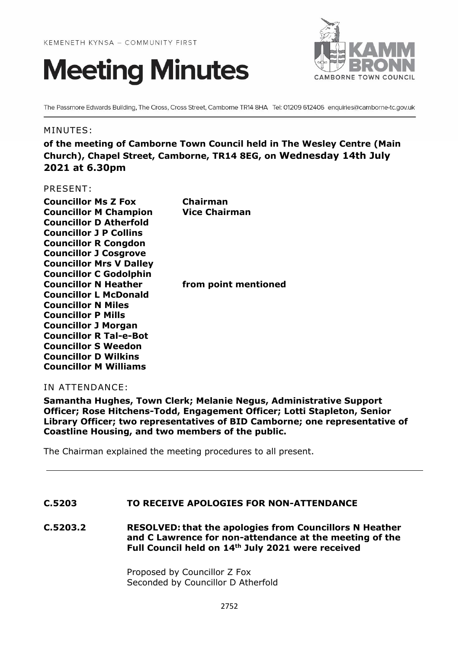



The Passmore Edwards Building, The Cross, Cross Street, Camborne TR14 8HA Tel: 01209 612406 enquiries@camborne-tc.gov.uk

#### MINUTES:

**of the meeting of Camborne Town Council held in The Wesley Centre (Main Church), Chapel Street, Camborne, TR14 8EG, on Wednesday 14th July 2021 at 6.30pm**

#### PRESENT:

| <b>Councillor Ms Z Fox</b>     | Chairman             |
|--------------------------------|----------------------|
| <b>Councillor M Champion</b>   | <b>Vice Chairman</b> |
| <b>Councillor D Atherfold</b>  |                      |
| <b>Councillor J P Collins</b>  |                      |
| <b>Councillor R Congdon</b>    |                      |
| <b>Councillor J Cosgrove</b>   |                      |
| <b>Councillor Mrs V Dalley</b> |                      |
| <b>Councillor C Godolphin</b>  |                      |
| <b>Councillor N Heather</b>    | from point mentioned |
| <b>Councillor L McDonald</b>   |                      |
| <b>Councillor N Miles</b>      |                      |
| <b>Councillor P Mills</b>      |                      |
| <b>Councillor J Morgan</b>     |                      |
| <b>Councillor R Tal-e-Bot</b>  |                      |
| <b>Councillor S Weedon</b>     |                      |
| <b>Councillor D Wilkins</b>    |                      |
| <b>Councillor M Williams</b>   |                      |
|                                |                      |

#### IN ATTENDANCE:

**Samantha Hughes, Town Clerk; Melanie Negus, Administrative Support Officer; Rose Hitchens-Todd, Engagement Officer; Lotti Stapleton, Senior Library Officer; two representatives of BID Camborne; one representative of Coastline Housing, and two members of the public.**

The Chairman explained the meeting procedures to all present.

#### **C.5203 TO RECEIVE APOLOGIES FOR NON-ATTENDANCE**

**C.5203.2 RESOLVED: that the apologies from Councillors N Heather and C Lawrence for non-attendance at the meeting of the Full Council held on 14th July 2021 were received**

> Proposed by Councillor Z Fox Seconded by Councillor D Atherfold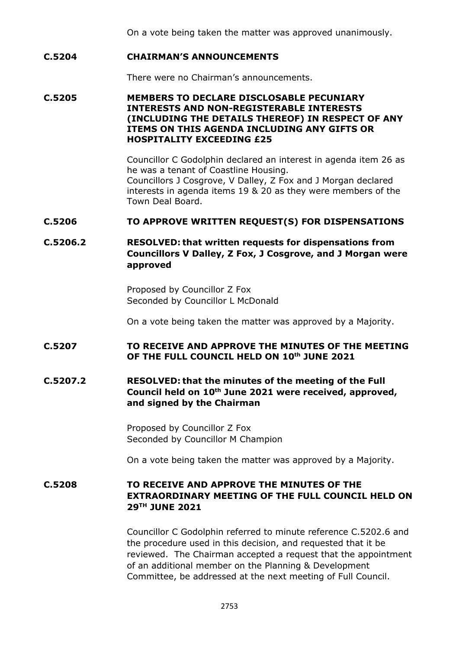On a vote being taken the matter was approved unanimously.

## **C.5204 CHAIRMAN'S ANNOUNCEMENTS**

There were no Chairman's announcements.

# **C.5205 MEMBERS TO DECLARE DISCLOSABLE PECUNIARY INTERESTS AND NON-REGISTERABLE INTERESTS (INCLUDING THE DETAILS THEREOF) IN RESPECT OF ANY ITEMS ON THIS AGENDA INCLUDING ANY GIFTS OR HOSPITALITY EXCEEDING £25**

Councillor C Godolphin declared an interest in agenda item 26 as he was a tenant of Coastline Housing. Councillors J Cosgrove, V Dalley, Z Fox and J Morgan declared interests in agenda items 19 & 20 as they were members of the Town Deal Board.

#### **C.5206 TO APPROVE WRITTEN REQUEST(S) FOR DISPENSATIONS**

# **C.5206.2 RESOLVED: that written requests for dispensations from Councillors V Dalley, Z Fox, J Cosgrove, and J Morgan were approved**

Proposed by Councillor Z Fox Seconded by Councillor L McDonald

On a vote being taken the matter was approved by a Majority.

# **C.5207 TO RECEIVE AND APPROVE THE MINUTES OF THE MEETING OF THE FULL COUNCIL HELD ON 10th JUNE 2021**

# **C.5207.2 RESOLVED: that the minutes of the meeting of the Full Council held on 10th June 2021 were received, approved, and signed by the Chairman**

Proposed by Councillor Z Fox Seconded by Councillor M Champion

On a vote being taken the matter was approved by a Majority.

# **C.5208 TO RECEIVE AND APPROVE THE MINUTES OF THE EXTRAORDINARY MEETING OF THE FULL COUNCIL HELD ON 29TH JUNE 2021**

Councillor C Godolphin referred to minute reference C.5202.6 and the procedure used in this decision, and requested that it be reviewed. The Chairman accepted a request that the appointment of an additional member on the Planning & Development Committee, be addressed at the next meeting of Full Council.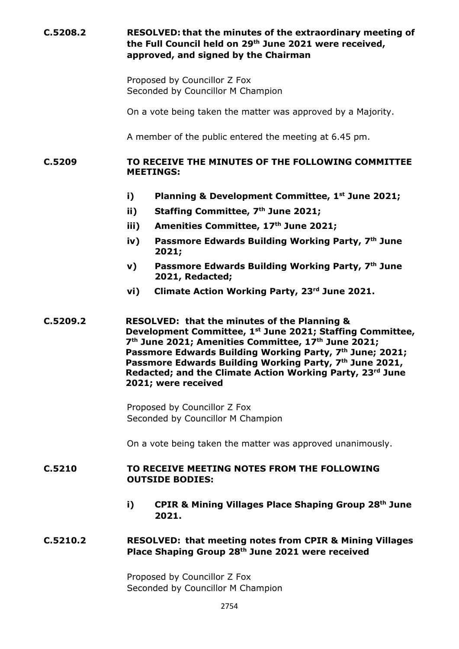# **C.5208.2 RESOLVED: that the minutes of the extraordinary meeting of the Full Council held on 29th June 2021 were received, approved, and signed by the Chairman** Proposed by Councillor Z Fox Seconded by Councillor M Champion On a vote being taken the matter was approved by a Majority. A member of the public entered the meeting at 6.45 pm. **C.5209 TO RECEIVE THE MINUTES OF THE FOLLOWING COMMITTEE MEETINGS: i) Planning & Development Committee, 1st June 2021; ii) Staffing Committee, 7th June 2021; iii) Amenities Committee, 17th June 2021; iv) Passmore Edwards Building Working Party, 7th June 2021; v) Passmore Edwards Building Working Party, 7th June 2021, Redacted; vi) Climate Action Working Party, 23rd June 2021. C.5209.2 RESOLVED: that the minutes of the Planning & Development Committee, 1st June 2021; Staffing Committee, 7 th June 2021; Amenities Committee, 17th June 2021; Passmore Edwards Building Working Party, 7th June; 2021; Passmore Edwards Building Working Party, 7th June 2021, Redacted; and the Climate Action Working Party, 23rd June 2021; were received** Proposed by Councillor Z Fox Seconded by Councillor M Champion On a vote being taken the matter was approved unanimously. **C.5210 TO RECEIVE MEETING NOTES FROM THE FOLLOWING OUTSIDE BODIES: i) CPIR & Mining Villages Place Shaping Group 28th June 2021. C.5210.2 RESOLVED: that meeting notes from CPIR & Mining Villages Place Shaping Group 28th June 2021 were received** Proposed by Councillor Z Fox Seconded by Councillor M Champion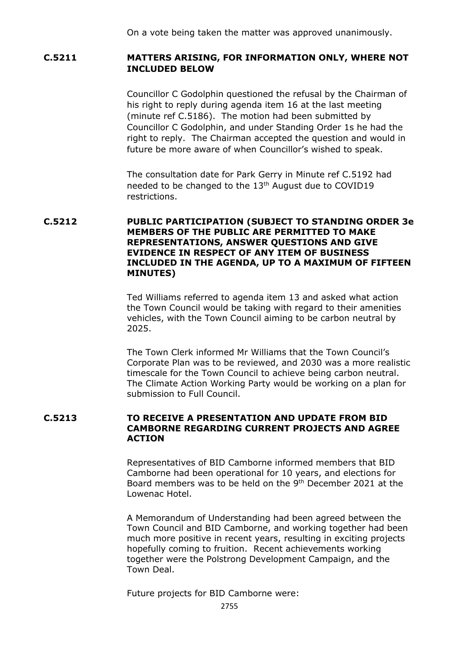On a vote being taken the matter was approved unanimously.

# **C.5211 MATTERS ARISING, FOR INFORMATION ONLY, WHERE NOT INCLUDED BELOW**

Councillor C Godolphin questioned the refusal by the Chairman of his right to reply during agenda item 16 at the last meeting (minute ref C.5186). The motion had been submitted by Councillor C Godolphin, and under Standing Order 1s he had the right to reply. The Chairman accepted the question and would in future be more aware of when Councillor's wished to speak.

The consultation date for Park Gerry in Minute ref C.5192 had needed to be changed to the 13<sup>th</sup> August due to COVID19 restrictions.

# **C.5212 PUBLIC PARTICIPATION (SUBJECT TO STANDING ORDER 3e MEMBERS OF THE PUBLIC ARE PERMITTED TO MAKE REPRESENTATIONS, ANSWER QUESTIONS AND GIVE EVIDENCE IN RESPECT OF ANY ITEM OF BUSINESS INCLUDED IN THE AGENDA, UP TO A MAXIMUM OF FIFTEEN MINUTES)**

Ted Williams referred to agenda item 13 and asked what action the Town Council would be taking with regard to their amenities vehicles, with the Town Council aiming to be carbon neutral by 2025.

The Town Clerk informed Mr Williams that the Town Council's Corporate Plan was to be reviewed, and 2030 was a more realistic timescale for the Town Council to achieve being carbon neutral. The Climate Action Working Party would be working on a plan for submission to Full Council.

#### **C.5213 TO RECEIVE A PRESENTATION AND UPDATE FROM BID CAMBORNE REGARDING CURRENT PROJECTS AND AGREE ACTION**

Representatives of BID Camborne informed members that BID Camborne had been operational for 10 years, and elections for Board members was to be held on the 9<sup>th</sup> December 2021 at the Lowenac Hotel.

A Memorandum of Understanding had been agreed between the Town Council and BID Camborne, and working together had been much more positive in recent years, resulting in exciting projects hopefully coming to fruition. Recent achievements working together were the Polstrong Development Campaign, and the Town Deal.

Future projects for BID Camborne were: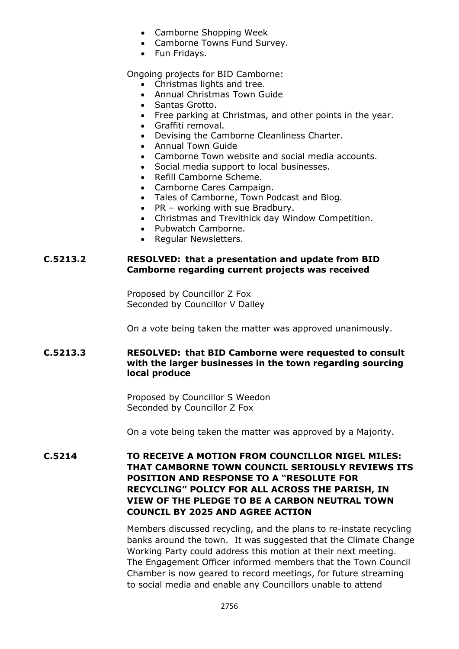- Camborne Shopping Week
- Camborne Towns Fund Survey.
- Fun Fridays.

Ongoing projects for BID Camborne:

- Christmas lights and tree.
- Annual Christmas Town Guide
- Santas Grotto.
- Free parking at Christmas, and other points in the year.
- Graffiti removal.
- Devising the Camborne Cleanliness Charter.
- Annual Town Guide
- Camborne Town website and social media accounts.
- Social media support to local businesses.
- Refill Camborne Scheme.
- Camborne Cares Campaign.
- Tales of Camborne, Town Podcast and Blog.
- PR working with sue Bradbury.
- Christmas and Trevithick day Window Competition.
- Pubwatch Camborne.
- Regular Newsletters.

## **C.5213.2 RESOLVED: that a presentation and update from BID Camborne regarding current projects was received**

Proposed by Councillor Z Fox Seconded by Councillor V Dalley

On a vote being taken the matter was approved unanimously.

# **C.5213.3 RESOLVED: that BID Camborne were requested to consult with the larger businesses in the town regarding sourcing local produce**

Proposed by Councillor S Weedon Seconded by Councillor Z Fox

On a vote being taken the matter was approved by a Majority.

# **C.5214 TO RECEIVE A MOTION FROM COUNCILLOR NIGEL MILES: THAT CAMBORNE TOWN COUNCIL SERIOUSLY REVIEWS ITS POSITION AND RESPONSE TO A "RESOLUTE FOR RECYCLING" POLICY FOR ALL ACROSS THE PARISH, IN VIEW OF THE PLEDGE TO BE A CARBON NEUTRAL TOWN COUNCIL BY 2025 AND AGREE ACTION**

Members discussed recycling, and the plans to re-instate recycling banks around the town. It was suggested that the Climate Change Working Party could address this motion at their next meeting. The Engagement Officer informed members that the Town Council Chamber is now geared to record meetings, for future streaming to social media and enable any Councillors unable to attend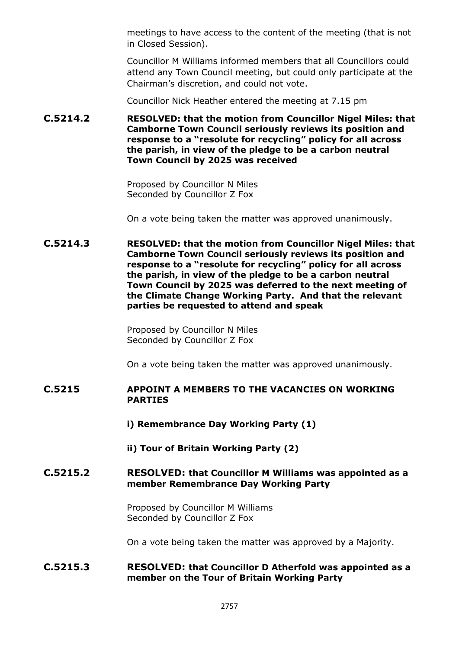meetings to have access to the content of the meeting (that is not in Closed Session).

Councillor M Williams informed members that all Councillors could attend any Town Council meeting, but could only participate at the Chairman's discretion, and could not vote.

Councillor Nick Heather entered the meeting at 7.15 pm

**C.5214.2 RESOLVED: that the motion from Councillor Nigel Miles: that Camborne Town Council seriously reviews its position and response to a "resolute for recycling" policy for all across the parish, in view of the pledge to be a carbon neutral Town Council by 2025 was received**

> Proposed by Councillor N Miles Seconded by Councillor Z Fox

On a vote being taken the matter was approved unanimously.

**C.5214.3 RESOLVED: that the motion from Councillor Nigel Miles: that Camborne Town Council seriously reviews its position and response to a "resolute for recycling" policy for all across the parish, in view of the pledge to be a carbon neutral Town Council by 2025 was deferred to the next meeting of the Climate Change Working Party. And that the relevant parties be requested to attend and speak**

> Proposed by Councillor N Miles Seconded by Councillor Z Fox

On a vote being taken the matter was approved unanimously.

## **C.5215 APPOINT A MEMBERS TO THE VACANCIES ON WORKING PARTIES**

**i) Remembrance Day Working Party (1)**

**ii) Tour of Britain Working Party (2)**

## **C.5215.2 RESOLVED: that Councillor M Williams was appointed as a member Remembrance Day Working Party**

Proposed by Councillor M Williams Seconded by Councillor Z Fox

On a vote being taken the matter was approved by a Majority.

## **C.5215.3 RESOLVED: that Councillor D Atherfold was appointed as a member on the Tour of Britain Working Party**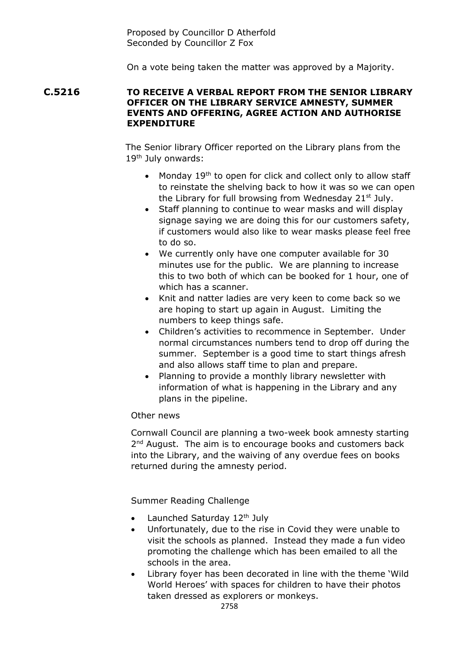Proposed by Councillor D Atherfold Seconded by Councillor Z Fox

On a vote being taken the matter was approved by a Majority.

#### **C.5216 TO RECEIVE A VERBAL REPORT FROM THE SENIOR LIBRARY OFFICER ON THE LIBRARY SERVICE AMNESTY, SUMMER EVENTS AND OFFERING, AGREE ACTION AND AUTHORISE EXPENDITURE**

The Senior library Officer reported on the Library plans from the 19<sup>th</sup> July onwards:

- Monday 19<sup>th</sup> to open for click and collect only to allow staff to reinstate the shelving back to how it was so we can open the Library for full browsing from Wednesday 21st July.
- Staff planning to continue to wear masks and will display signage saying we are doing this for our customers safety, if customers would also like to wear masks please feel free to do so.
- We currently only have one computer available for 30 minutes use for the public. We are planning to increase this to two both of which can be booked for 1 hour, one of which has a scanner.
- Knit and natter ladies are very keen to come back so we are hoping to start up again in August. Limiting the numbers to keep things safe.
- Children's activities to recommence in September. Under normal circumstances numbers tend to drop off during the summer. September is a good time to start things afresh and also allows staff time to plan and prepare.
- Planning to provide a monthly library newsletter with information of what is happening in the Library and any plans in the pipeline.

# Other news

Cornwall Council are planning a two-week book amnesty starting 2<sup>nd</sup> August. The aim is to encourage books and customers back into the Library, and the waiving of any overdue fees on books returned during the amnesty period.

Summer Reading Challenge

- Launched Saturday  $12<sup>th</sup>$  July
- Unfortunately, due to the rise in Covid they were unable to visit the schools as planned. Instead they made a fun video promoting the challenge which has been emailed to all the schools in the area.
- Library foyer has been decorated in line with the theme 'Wild World Heroes' with spaces for children to have their photos taken dressed as explorers or monkeys.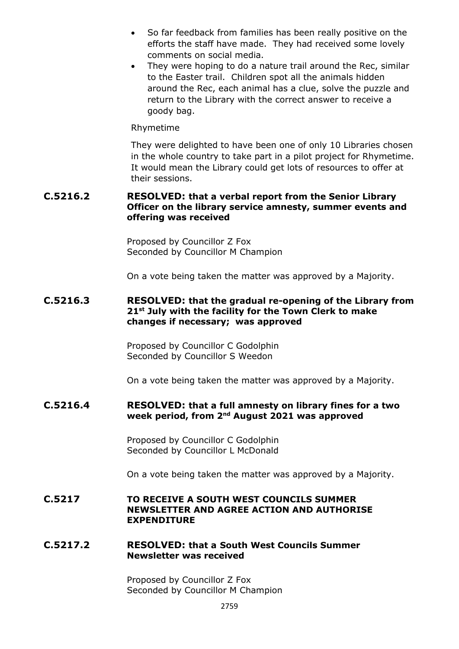- So far feedback from families has been really positive on the efforts the staff have made. They had received some lovely comments on social media.
- They were hoping to do a nature trail around the Rec, similar to the Easter trail. Children spot all the animals hidden around the Rec, each animal has a clue, solve the puzzle and return to the Library with the correct answer to receive a goody bag.

#### Rhymetime

They were delighted to have been one of only 10 Libraries chosen in the whole country to take part in a pilot project for Rhymetime. It would mean the Library could get lots of resources to offer at their sessions.

#### **C.5216.2 RESOLVED: that a verbal report from the Senior Library Officer on the library service amnesty, summer events and offering was received**

Proposed by Councillor Z Fox Seconded by Councillor M Champion

On a vote being taken the matter was approved by a Majority.

## **C.5216.3 RESOLVED: that the gradual re-opening of the Library from 21st July with the facility for the Town Clerk to make changes if necessary; was approved**

Proposed by Councillor C Godolphin Seconded by Councillor S Weedon

On a vote being taken the matter was approved by a Majority.

## **C.5216.4 RESOLVED: that a full amnesty on library fines for a two week period, from 2nd August 2021 was approved**

Proposed by Councillor C Godolphin Seconded by Councillor L McDonald

On a vote being taken the matter was approved by a Majority.

#### **C.5217 TO RECEIVE A SOUTH WEST COUNCILS SUMMER NEWSLETTER AND AGREE ACTION AND AUTHORISE EXPENDITURE**

#### **C.5217.2 RESOLVED: that a South West Councils Summer Newsletter was received**

Proposed by Councillor Z Fox Seconded by Councillor M Champion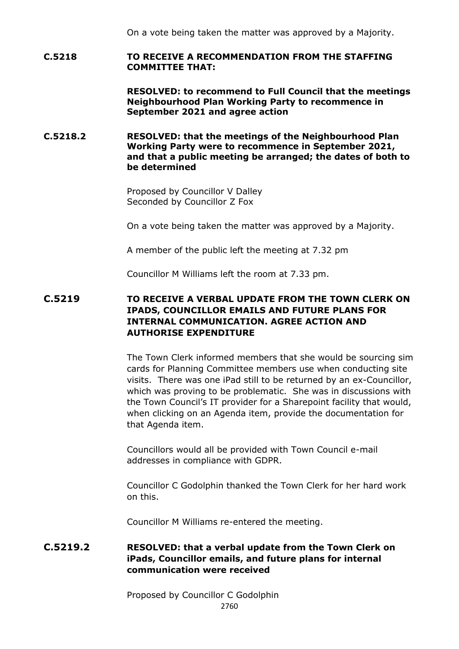On a vote being taken the matter was approved by a Majority.

## **C.5218 TO RECEIVE A RECOMMENDATION FROM THE STAFFING COMMITTEE THAT:**

**RESOLVED: to recommend to Full Council that the meetings Neighbourhood Plan Working Party to recommence in September 2021 and agree action**

# **C.5218.2 RESOLVED: that the meetings of the Neighbourhood Plan Working Party were to recommence in September 2021, and that a public meeting be arranged; the dates of both to be determined**

Proposed by Councillor V Dalley Seconded by Councillor Z Fox

On a vote being taken the matter was approved by a Majority.

A member of the public left the meeting at 7.32 pm

Councillor M Williams left the room at 7.33 pm.

# **C.5219 TO RECEIVE A VERBAL UPDATE FROM THE TOWN CLERK ON IPADS, COUNCILLOR EMAILS AND FUTURE PLANS FOR INTERNAL COMMUNICATION. AGREE ACTION AND AUTHORISE EXPENDITURE**

The Town Clerk informed members that she would be sourcing sim cards for Planning Committee members use when conducting site visits. There was one iPad still to be returned by an ex-Councillor, which was proving to be problematic. She was in discussions with the Town Council's IT provider for a Sharepoint facility that would, when clicking on an Agenda item, provide the documentation for that Agenda item.

Councillors would all be provided with Town Council e-mail addresses in compliance with GDPR.

Councillor C Godolphin thanked the Town Clerk for her hard work on this.

Councillor M Williams re-entered the meeting.

# **C.5219.2 RESOLVED: that a verbal update from the Town Clerk on iPads, Councillor emails, and future plans for internal communication were received**

2760 Proposed by Councillor C Godolphin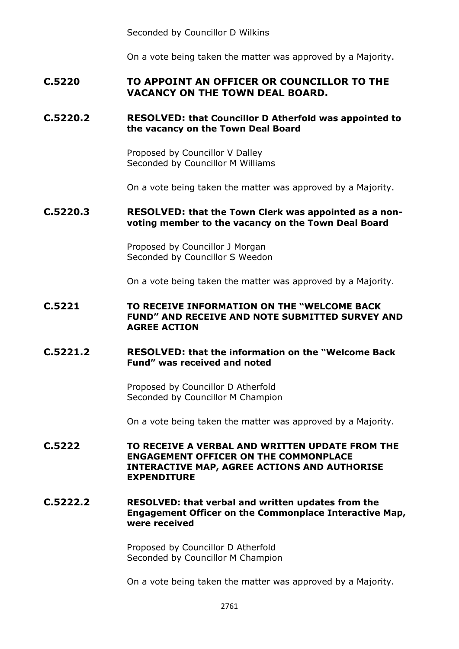Seconded by Councillor D Wilkins

On a vote being taken the matter was approved by a Majority.

# **C.5220 TO APPOINT AN OFFICER OR COUNCILLOR TO THE VACANCY ON THE TOWN DEAL BOARD.**

# **C.5220.2 RESOLVED: that Councillor D Atherfold was appointed to the vacancy on the Town Deal Board**

Proposed by Councillor V Dalley Seconded by Councillor M Williams

On a vote being taken the matter was approved by a Majority.

#### **C.5220.3 RESOLVED: that the Town Clerk was appointed as a nonvoting member to the vacancy on the Town Deal Board**

Proposed by Councillor J Morgan Seconded by Councillor S Weedon

On a vote being taken the matter was approved by a Majority.

# **C.5221 TO RECEIVE INFORMATION ON THE "WELCOME BACK FUND" AND RECEIVE AND NOTE SUBMITTED SURVEY AND AGREE ACTION**

# **C.5221.2 RESOLVED: that the information on the "Welcome Back Fund" was received and noted**

Proposed by Councillor D Atherfold Seconded by Councillor M Champion

On a vote being taken the matter was approved by a Majority.

**C.5222 TO RECEIVE A VERBAL AND WRITTEN UPDATE FROM THE ENGAGEMENT OFFICER ON THE COMMONPLACE INTERACTIVE MAP, AGREE ACTIONS AND AUTHORISE EXPENDITURE**

## **C.5222.2 RESOLVED: that verbal and written updates from the Engagement Officer on the Commonplace Interactive Map, were received**

Proposed by Councillor D Atherfold Seconded by Councillor M Champion

On a vote being taken the matter was approved by a Majority.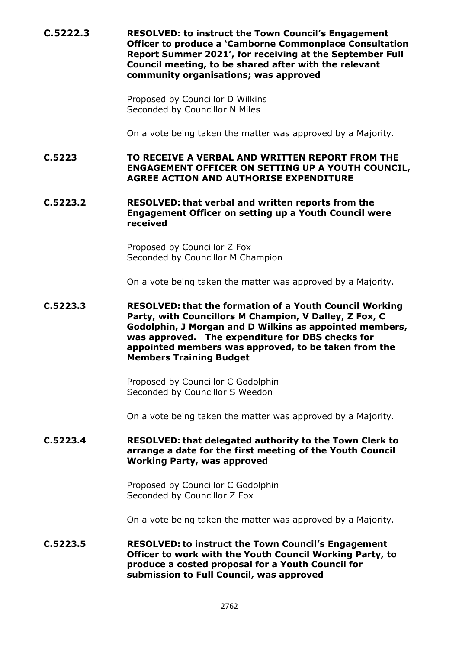**C.5222.3 RESOLVED: to instruct the Town Council's Engagement Officer to produce a 'Camborne Commonplace Consultation Report Summer 2021', for receiving at the September Full Council meeting, to be shared after with the relevant community organisations; was approved**

> Proposed by Councillor D Wilkins Seconded by Councillor N Miles

On a vote being taken the matter was approved by a Majority.

**C.5223 TO RECEIVE A VERBAL AND WRITTEN REPORT FROM THE ENGAGEMENT OFFICER ON SETTING UP A YOUTH COUNCIL, AGREE ACTION AND AUTHORISE EXPENDITURE**

## **C.5223.2 RESOLVED: that verbal and written reports from the Engagement Officer on setting up a Youth Council were received**

Proposed by Councillor Z Fox Seconded by Councillor M Champion

On a vote being taken the matter was approved by a Majority.

**C.5223.3 RESOLVED: that the formation of a Youth Council Working Party, with Councillors M Champion, V Dalley, Z Fox, C Godolphin, J Morgan and D Wilkins as appointed members, was approved. The expenditure for DBS checks for appointed members was approved, to be taken from the Members Training Budget**

> Proposed by Councillor C Godolphin Seconded by Councillor S Weedon

On a vote being taken the matter was approved by a Majority.

#### **C.5223.4 RESOLVED: that delegated authority to the Town Clerk to arrange a date for the first meeting of the Youth Council Working Party, was approved**

Proposed by Councillor C Godolphin Seconded by Councillor Z Fox

On a vote being taken the matter was approved by a Majority.

**C.5223.5 RESOLVED: to instruct the Town Council's Engagement Officer to work with the Youth Council Working Party, to produce a costed proposal for a Youth Council for submission to Full Council, was approved**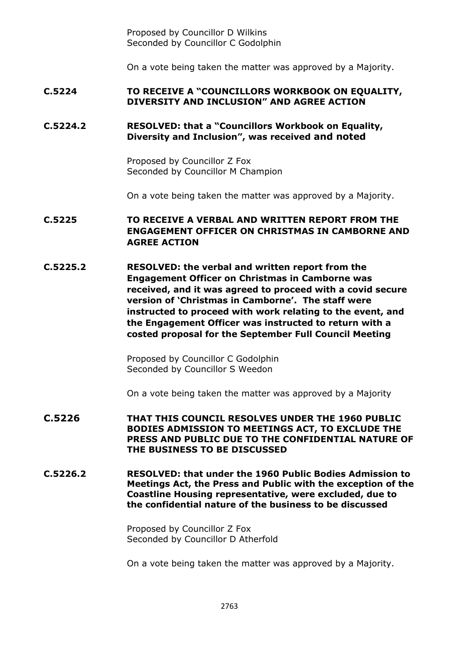Proposed by Councillor D Wilkins Seconded by Councillor C Godolphin

On a vote being taken the matter was approved by a Majority.

## **C.5224 TO RECEIVE A "COUNCILLORS WORKBOOK ON EQUALITY, DIVERSITY AND INCLUSION" AND AGREE ACTION**

# **C.5224.2 RESOLVED: that a "Councillors Workbook on Equality, Diversity and Inclusion", was received and noted**

Proposed by Councillor Z Fox Seconded by Councillor M Champion

On a vote being taken the matter was approved by a Majority.

# **C.5225 TO RECEIVE A VERBAL AND WRITTEN REPORT FROM THE ENGAGEMENT OFFICER ON CHRISTMAS IN CAMBORNE AND AGREE ACTION**

**C.5225.2 RESOLVED: the verbal and written report from the Engagement Officer on Christmas in Camborne was received, and it was agreed to proceed with a covid secure version of 'Christmas in Camborne'. The staff were instructed to proceed with work relating to the event, and the Engagement Officer was instructed to return with a costed proposal for the September Full Council Meeting**

> Proposed by Councillor C Godolphin Seconded by Councillor S Weedon

On a vote being taken the matter was approved by a Majority

- **C.5226 THAT THIS COUNCIL RESOLVES UNDER THE 1960 PUBLIC BODIES ADMISSION TO MEETINGS ACT, TO EXCLUDE THE PRESS AND PUBLIC DUE TO THE CONFIDENTIAL NATURE OF THE BUSINESS TO BE DISCUSSED**
- **C.5226.2 RESOLVED: that under the 1960 Public Bodies Admission to Meetings Act, the Press and Public with the exception of the Coastline Housing representative, were excluded, due to the confidential nature of the business to be discussed**

Proposed by Councillor Z Fox Seconded by Councillor D Atherfold

On a vote being taken the matter was approved by a Majority.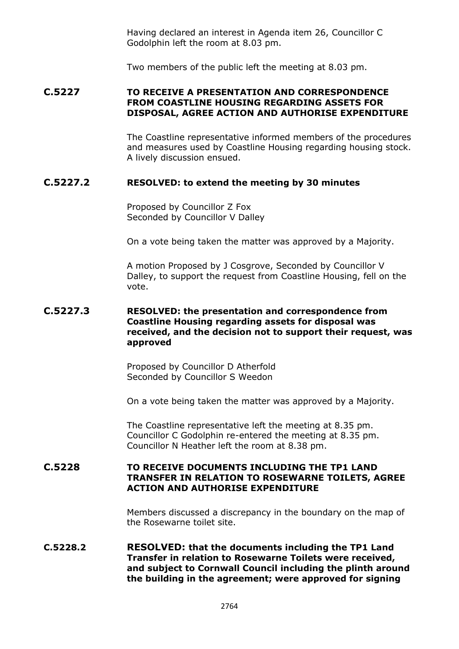Having declared an interest in Agenda item 26, Councillor C Godolphin left the room at 8.03 pm.

Two members of the public left the meeting at 8.03 pm.

#### **C.5227 TO RECEIVE A PRESENTATION AND CORRESPONDENCE FROM COASTLINE HOUSING REGARDING ASSETS FOR DISPOSAL, AGREE ACTION AND AUTHORISE EXPENDITURE**

The Coastline representative informed members of the procedures and measures used by Coastline Housing regarding housing stock. A lively discussion ensued.

#### **C.5227.2 RESOLVED: to extend the meeting by 30 minutes**

Proposed by Councillor Z Fox Seconded by Councillor V Dalley

On a vote being taken the matter was approved by a Majority.

A motion Proposed by J Cosgrove, Seconded by Councillor V Dalley, to support the request from Coastline Housing, fell on the vote.

#### **C.5227.3 RESOLVED: the presentation and correspondence from Coastline Housing regarding assets for disposal was received, and the decision not to support their request, was approved**

Proposed by Councillor D Atherfold Seconded by Councillor S Weedon

On a vote being taken the matter was approved by a Majority.

The Coastline representative left the meeting at 8.35 pm. Councillor C Godolphin re-entered the meeting at 8.35 pm. Councillor N Heather left the room at 8.38 pm.

# **C.5228 TO RECEIVE DOCUMENTS INCLUDING THE TP1 LAND TRANSFER IN RELATION TO ROSEWARNE TOILETS, AGREE ACTION AND AUTHORISE EXPENDITURE**

Members discussed a discrepancy in the boundary on the map of the Rosewarne toilet site.

#### **C.5228.2 RESOLVED: that the documents including the TP1 Land Transfer in relation to Rosewarne Toilets were received, and subject to Cornwall Council including the plinth around the building in the agreement; were approved for signing**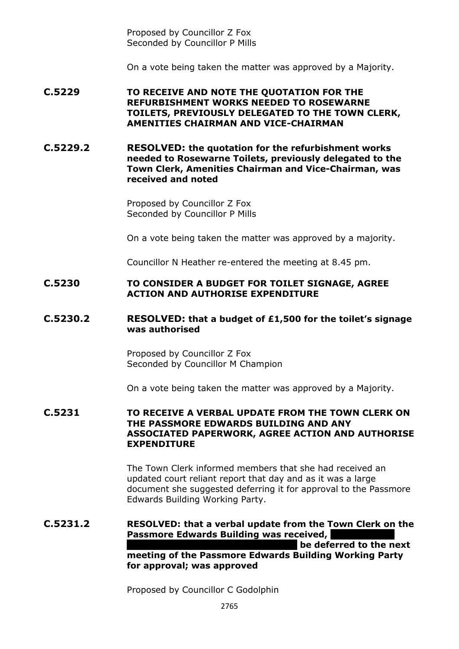Proposed by Councillor Z Fox Seconded by Councillor P Mills

On a vote being taken the matter was approved by a Majority.

**C.5229 TO RECEIVE AND NOTE THE QUOTATION FOR THE REFURBISHMENT WORKS NEEDED TO ROSEWARNE TOILETS, PREVIOUSLY DELEGATED TO THE TOWN CLERK, AMENITIES CHAIRMAN AND VICE-CHAIRMAN**

**C.5229.2 RESOLVED: the quotation for the refurbishment works needed to Rosewarne Toilets, previously delegated to the Town Clerk, Amenities Chairman and Vice-Chairman, was received and noted**

> Proposed by Councillor Z Fox Seconded by Councillor P Mills

On a vote being taken the matter was approved by a majority.

Councillor N Heather re-entered the meeting at 8.45 pm.

#### **C.5230 TO CONSIDER A BUDGET FOR TOILET SIGNAGE, AGREE ACTION AND AUTHORISE EXPENDITURE**

#### **C.5230.2 RESOLVED: that a budget of £1,500 for the toilet's signage was authorised**

Proposed by Councillor Z Fox Seconded by Councillor M Champion

On a vote being taken the matter was approved by a Majority.

#### **C.5231 TO RECEIVE A VERBAL UPDATE FROM THE TOWN CLERK ON THE PASSMORE EDWARDS BUILDING AND ANY ASSOCIATED PAPERWORK, AGREE ACTION AND AUTHORISE EXPENDITURE**

The Town Clerk informed members that she had received an updated court reliant report that day and as it was a large document she suggested deferring it for approval to the Passmore Edwards Building Working Party.

#### **C.5231.2 RESOLVED: that a verbal update from the Town Clerk on the Passmore Edwards Building was received, be deferred to the next meeting of the Passmore Edwards Building Working Party for approval; was approved**

Proposed by Councillor C Godolphin